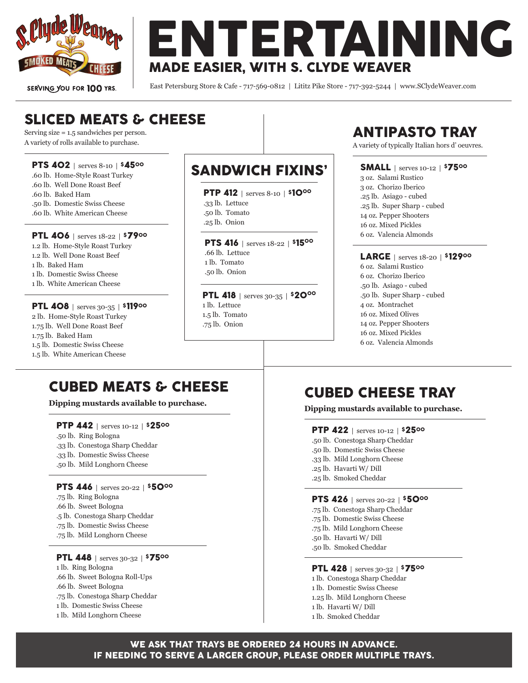

SERVING YOU FOR 100 YRS.

ENTERTAINING MADE EASIER, WITH S. CLYDE WEAVER

East Petersburg Store & Cafe - 717-569-0812 | Lititz Pike Store - 717-392-5244 | www.SClydeWeaver.com

# SLICED MEATS & CHEESE

Serving size = 1.5 sandwiches per person. A variety of rolls available to purchase.

#### PTS 402 | serves 8-10 | \$4500

- .60 lb. Home-Style Roast Turkey
- .60 lb. Well Done Roast Beef
- .60 lb. Baked Ham
- .50 lb. Domestic Swiss Cheese
- .60 lb. White American Cheese

#### PTL 406 | serves 18-22 | \$7900

1.2 lb. Home-Style Roast Turkey 1.2 lb. Well Done Roast Beef 1 lb. Baked Ham 1 lb. Domestic Swiss Cheese 1 lb. White American Cheese

#### PTL 408 | serves 30-35 | \$11900

2 lb. Home-Style Roast Turkey 1.75 lb. Well Done Roast Beef 1.75 lb. Baked Ham 1.5 lb. Domestic Swiss Cheese 1.5 lb. White American Cheese

## SANDWICH FIXINS'

PTP 412 | serves 8-10 | \$10<sup>00</sup>

- .33 lb. Lettuce
- .50 lb. Tomato
- .25 lb. Onion

PTS 416 | serves 18-22 | \$1500 .66 lb. Lettuce 1 lb. Tomato .50 lb. Onion

PTL 418 | serves 30-35 | \$20<sup>00</sup> 1 lb. Lettuce 1.5 lb. Tomato .75 lb. Onion

# ANTIPASTO TRAY

A variety of typically Italian hors d' oeuvres.

### SMALL | serves 10-12 | \$7500

3 oz. Salami Rustico 3 oz. Chorizo Iberico .25 lb. Asiago - cubed .25 lb. Super Sharp - cubed 14 oz. Pepper Shooters 16 oz. Mixed Pickles 6 oz. Valencia Almonds

### LARGE | serves 18-20 | \$12900

6 oz. Salami Rustico 6 oz. Chorizo Iberico .50 lb. Asiago - cubed .50 lb. Super Sharp - cubed 4 oz. Montrachet 16 oz. Mixed Olives 14 oz. Pepper Shooters 16 oz. Mixed Pickles 6 oz. Valencia Almonds

# CUBED MEATS & CHEESE

**Dipping mustards available to purchase.**

#### PTP 442 | serves 10-12 | \$2500

- .50 lb. Ring Bologna
- .33 lb. Conestoga Sharp Cheddar
- .33 lb. Domestic Swiss Cheese
- .50 lb. Mild Longhorn Cheese

#### PTS 446 | serves 20-22 | \$5000

.75 lb. Ring Bologna .66 lb. Sweet Bologna .5 lb. Conestoga Sharp Cheddar .75 lb. Domestic Swiss Cheese .75 lb. Mild Longhorn Cheese

#### **PTL 448** | serves 30-32 | \$7500 1 lb. Ring Bologna .66 lb. Sweet Bologna Roll-Ups .66 lb. Sweet Bologna .75 lb. Conestoga Sharp Cheddar 1 lb. Domestic Swiss Cheese 1 lb. Mild Longhorn Cheese

# CUBED CHEESE TRAY

**Dipping mustards available to purchase.**

#### PTP 422 | serves 10-12 | \$2500

- .50 lb. Conestoga Sharp Cheddar
- .50 lb. Domestic Swiss Cheese
- .33 lb. Mild Longhorn Cheese
- .25 lb. Havarti W/ Dill
- .25 lb. Smoked Cheddar

#### PTS 426 | serves 20-22 | \$5000

- .75 lb. Conestoga Sharp Cheddar
- .75 lb. Domestic Swiss Cheese
- .75 lb. Mild Longhorn Cheese
- .50 lb. Havarti W/ Dill
- .50 lb. Smoked Cheddar

#### PTL 428 | serves 30-32 | \$7500

- 1 lb. Conestoga Sharp Cheddar
- 1 lb. Domestic Swiss Cheese
- 1.25 lb. Mild Longhorn Cheese
- 1 lb. Havarti W/ Dill
- 1 lb. Smoked Cheddar

### WE ASK THAT TRAYS BE ORDERED 24 HOURS IN ADVANCE. IF NEEDING TO SERVE A LARGER GROUP, PLEASE ORDER MULTIPLE TRAYS.